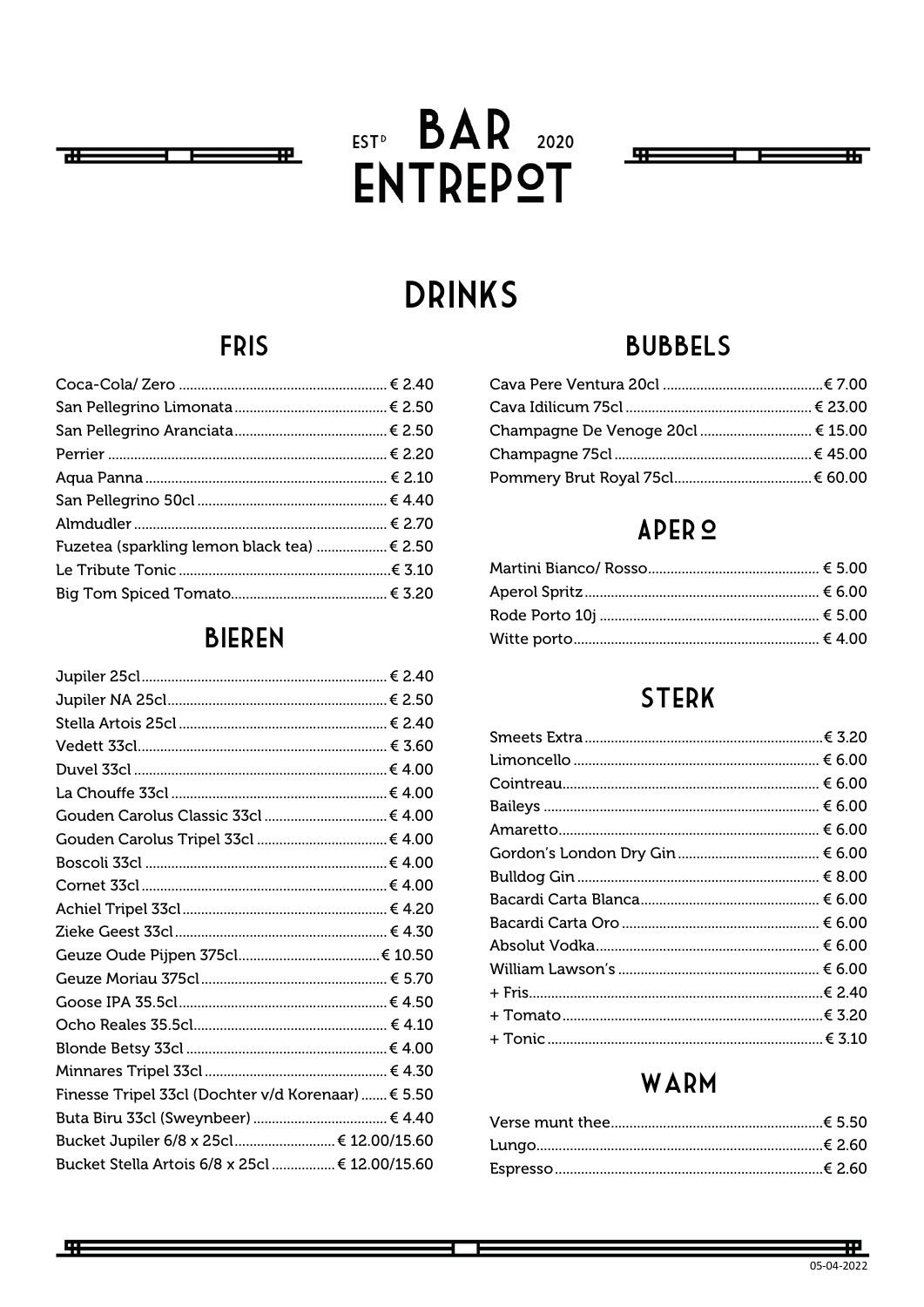

# EST<sup>D</sup> BAR 2020 **ENTREPOT**



## **DRINKS**

## **FRIS**

| Fuzetea (sparkling lemon black tea)  € 2.50 |  |
|---------------------------------------------|--|
|                                             |  |
|                                             |  |

### **BIEREN**

| Finesse Tripel 33cl (Dochter v/d Korenaar)  € 5.50 |  |
|----------------------------------------------------|--|
|                                                    |  |
| Bucket Jupiler 6/8 x 25cl  € 12.00/15.60           |  |
| Bucket Stella Artois 6/8 x 25cl  € 12.00/15.60     |  |

## **BUBBELS**

| Champagne De Venoge 20cl  € 15.00 |  |
|-----------------------------------|--|
|                                   |  |
|                                   |  |

## APER<sup>O</sup>

## **STERK**

| Amaretto……………………………………………………………… € 6.00 |  |
|-----------------------------------------|--|
|                                         |  |
|                                         |  |
|                                         |  |
|                                         |  |
|                                         |  |
|                                         |  |
|                                         |  |
|                                         |  |
|                                         |  |

## WARM

开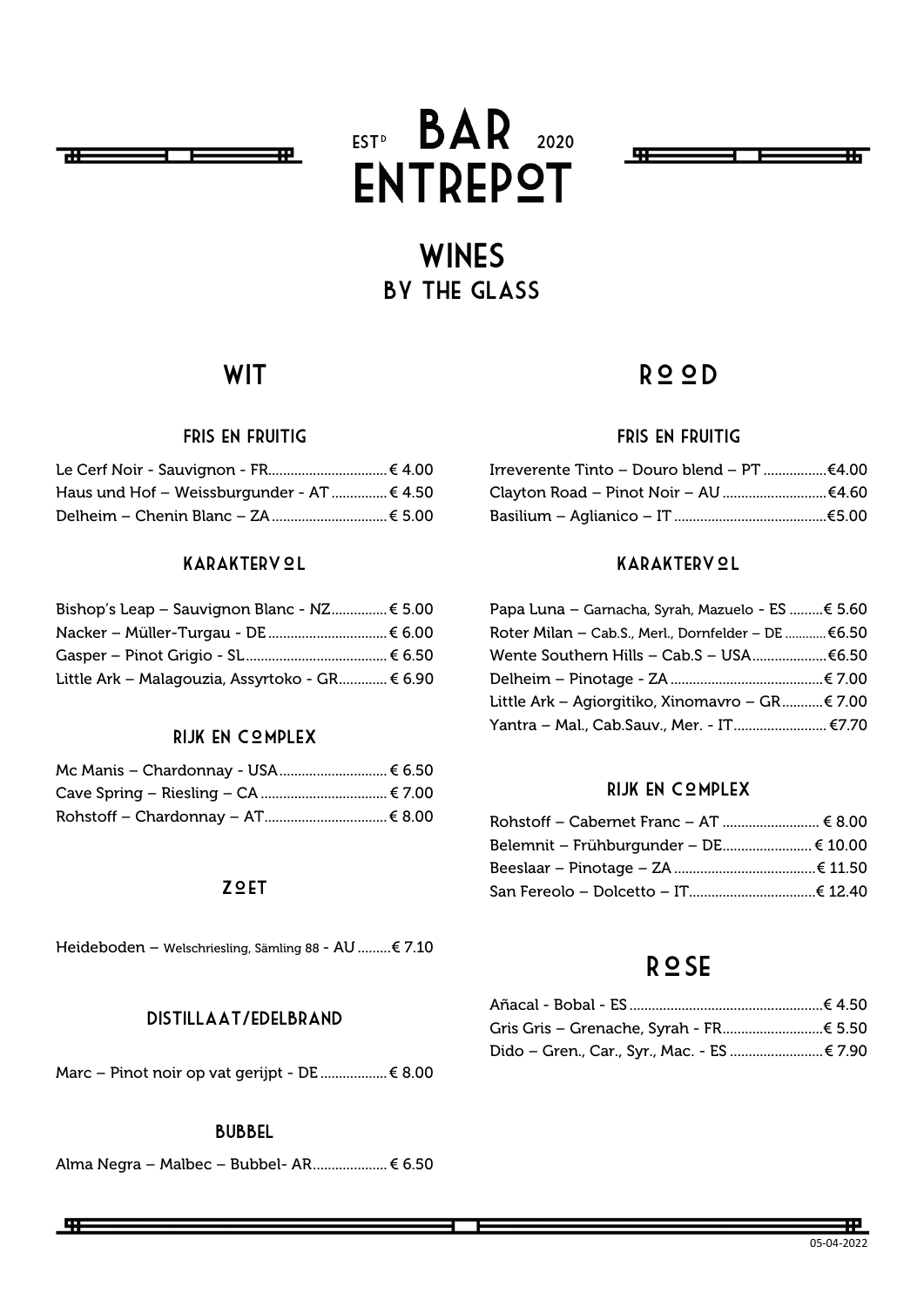

# EST<sup>D</sup> BAR 2020 **ENTREPOT**



## **WINES** By the glass

### **WIT**

#### Fris en fruitig

| Haus und Hof – Weissburgunder - AT  € 4.50 |  |
|--------------------------------------------|--|
|                                            |  |

#### KARAKTERV **QL**

| Bishop's Leap - Sauvignon Blanc - $NZ$ $\epsilon$ 5.00 |  |
|--------------------------------------------------------|--|
|                                                        |  |
|                                                        |  |
| Little Ark - Malagouzia, Assyrtoko - GR € 6.90         |  |

#### RIJK EN COMPLEX

| Mc Manis - Chardonnay - USA  € 6.50 |  |
|-------------------------------------|--|
|                                     |  |
|                                     |  |

#### **ZQET**

Heideboden – Welschriesling, Sämling 88 - AU .........€ 7.10

#### Distillaat/edelbrand

Marc – Pinot noir op vat gerijpt - DE ..................€ 8.00

#### Bubbel

Alma Negra – Malbec – Bubbel- AR....................€ 6.50

### R<sup>o</sup>OD

#### Fris en fruitig

| Irreverente Tinto – Douro blend – PT €4.00 |  |
|--------------------------------------------|--|
|                                            |  |
|                                            |  |

#### KARAKTERV **QL**

| Papa Luna – Garnacha, Syrah, Mazuelo - ES € 5.60   |  |
|----------------------------------------------------|--|
| Roter Milan – Cab.S., Merl., Dornfelder – DE €6.50 |  |
| Wente Southern Hills – Cab.S – USA€6.50            |  |
|                                                    |  |
| Little Ark – Agiorgitiko, Xinomavro – GR………€ 7.00  |  |
| Yantra – Mal., Cab.Sauv., Mer. - IT €7.70          |  |

#### RIJK EN COMPLEX

| Belemnit – Frühburgunder – DE€ 10.00 |  |
|--------------------------------------|--|
|                                      |  |
|                                      |  |

#### Rose

| Dido – Gren., Car., Syr., Mac. - ES  € 7.90 |  |
|---------------------------------------------|--|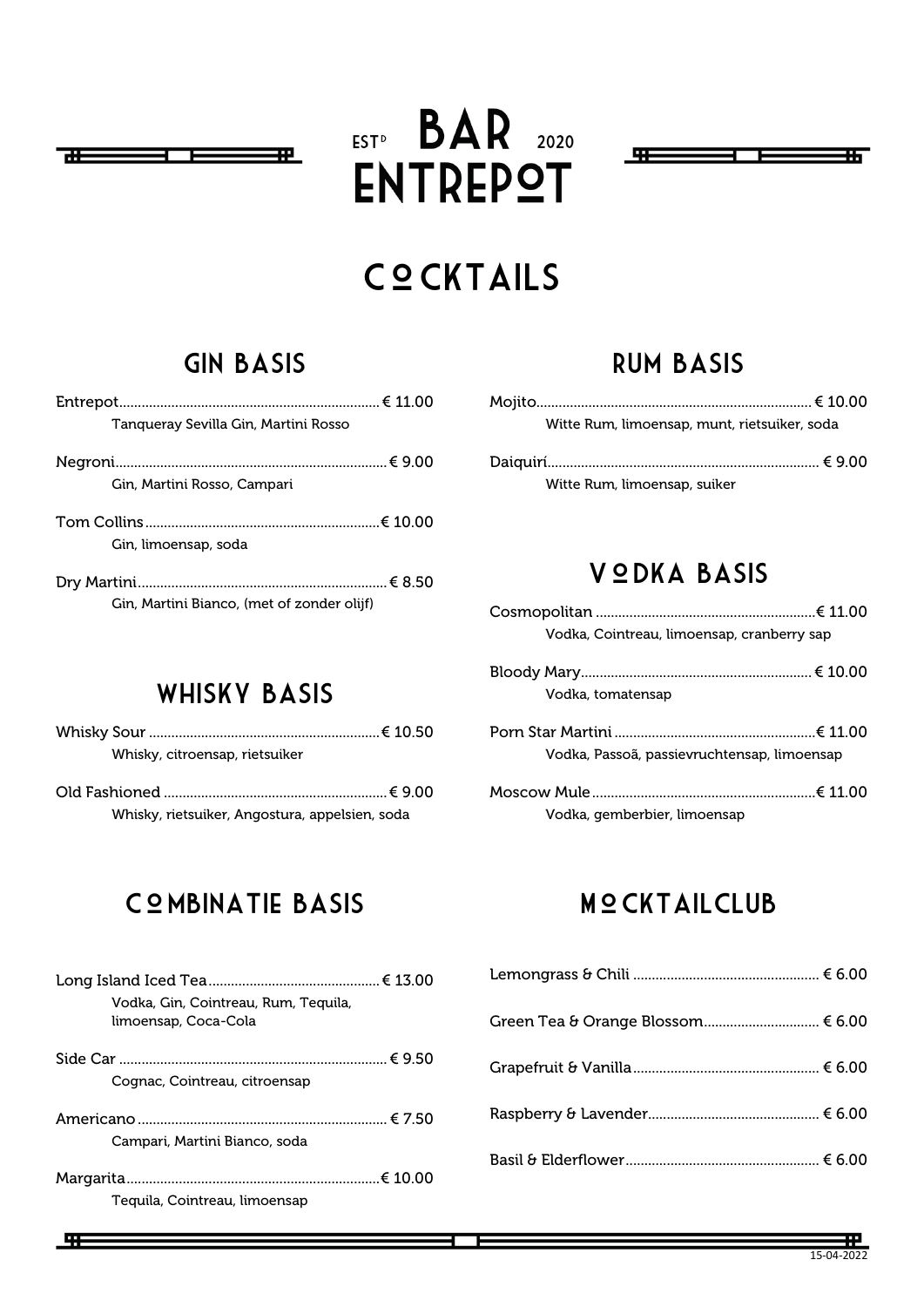

# $EST<sub>P</sub>$  BAR 2020 **ENTREPOT**



## **COCKTAILS**

## Gin basis

| Tangueray Sevilla Gin, Martini Rosso       |  |
|--------------------------------------------|--|
| Gin, Martini Rosso, Campari                |  |
| Gin, limoensap, soda                       |  |
| Gin, Martini Bianco, (met of zonder olijf) |  |

## Rum basis

| Witte Rum, limoensap, munt, rietsuiker, soda |  |
|----------------------------------------------|--|
|                                              |  |
| Witte Rum, limoensap, suiker                 |  |

## VODKA BASIS

| Vodka, Cointreau, limoensap, cranberry sap  |  |
|---------------------------------------------|--|
|                                             |  |
| Vodka, tomatensap                           |  |
|                                             |  |
| Vodka, Passoã, passievruchtensap, limoensap |  |
|                                             |  |
| Vodka, gemberbier, limoensap                |  |

## Whisky basis

| Whisky, citroensap, rietsuiker                 |  |
|------------------------------------------------|--|
|                                                |  |
| Whisky, rietsuiker, Angostura, appelsien, soda |  |

## COMBINATIE BASIS

| Vodka, Gin, Cointreau, Rum, Tequila,<br>limoensap, Coca-Cola |  |
|--------------------------------------------------------------|--|
|                                                              |  |
| Cognac, Cointreau, citroensap                                |  |
|                                                              |  |
| Campari, Martini Bianco, soda                                |  |
|                                                              |  |
| Teguila, Cointreau, limoensap                                |  |

## **MOCKTAILCLUB**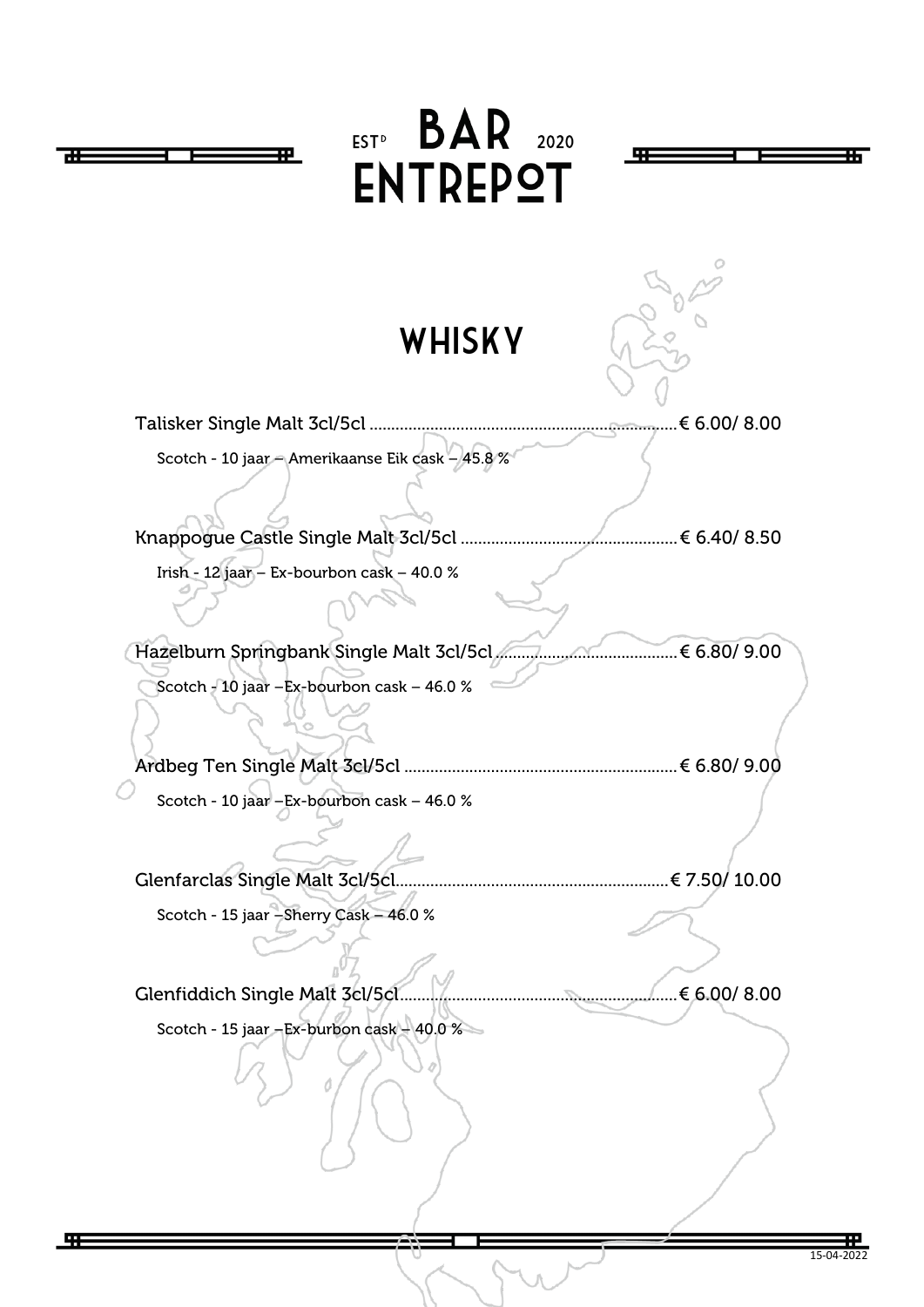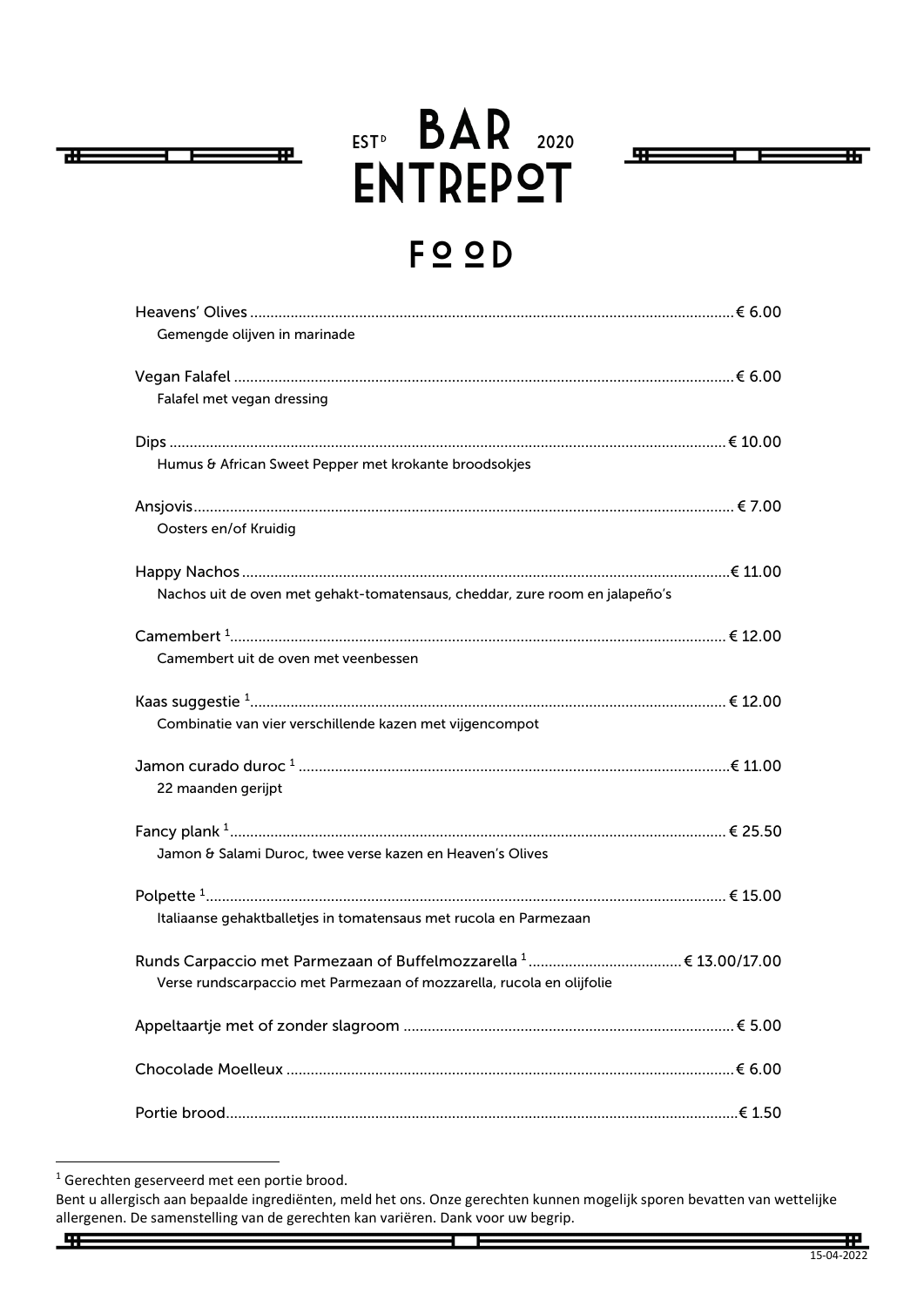

# EST<sup>D</sup> BAR 2020 **ENTREPOT**



## FOOD

<span id="page-4-0"></span>

| Gemengde olijven in marinade                                                |  |
|-----------------------------------------------------------------------------|--|
|                                                                             |  |
| Falafel met vegan dressing                                                  |  |
|                                                                             |  |
| Humus & African Sweet Pepper met krokante broodsokjes                       |  |
|                                                                             |  |
| Oosters en/of Kruidig                                                       |  |
|                                                                             |  |
| Nachos uit de oven met gehakt-tomatensaus, cheddar, zure room en jalapeño's |  |
|                                                                             |  |
| Camembert uit de oven met veenbessen                                        |  |
|                                                                             |  |
| Combinatie van vier verschillende kazen met vijgencompot                    |  |
|                                                                             |  |
| 22 maanden gerijpt                                                          |  |
|                                                                             |  |
| Jamon & Salami Duroc, twee verse kazen en Heaven's Olives                   |  |
|                                                                             |  |
| Italiaanse gehaktballetjes in tomatensaus met rucola en Parmezaan           |  |
|                                                                             |  |
| Verse rundscarpaccio met Parmezaan of mozzarella, rucola en olijfolie       |  |
|                                                                             |  |
|                                                                             |  |
|                                                                             |  |

开

<span id="page-4-1"></span><sup>&</sup>lt;sup>1</sup> Gerechten geserveerd met een portie brood.

Bent u allergisch aan bepaalde ingrediënten, meld het ons. Onze gerechten kunnen mogelijk sporen bevatten van wettelijke allergenen. De samenstelling van de gerechten kan variëren. Dank voor uw begrip.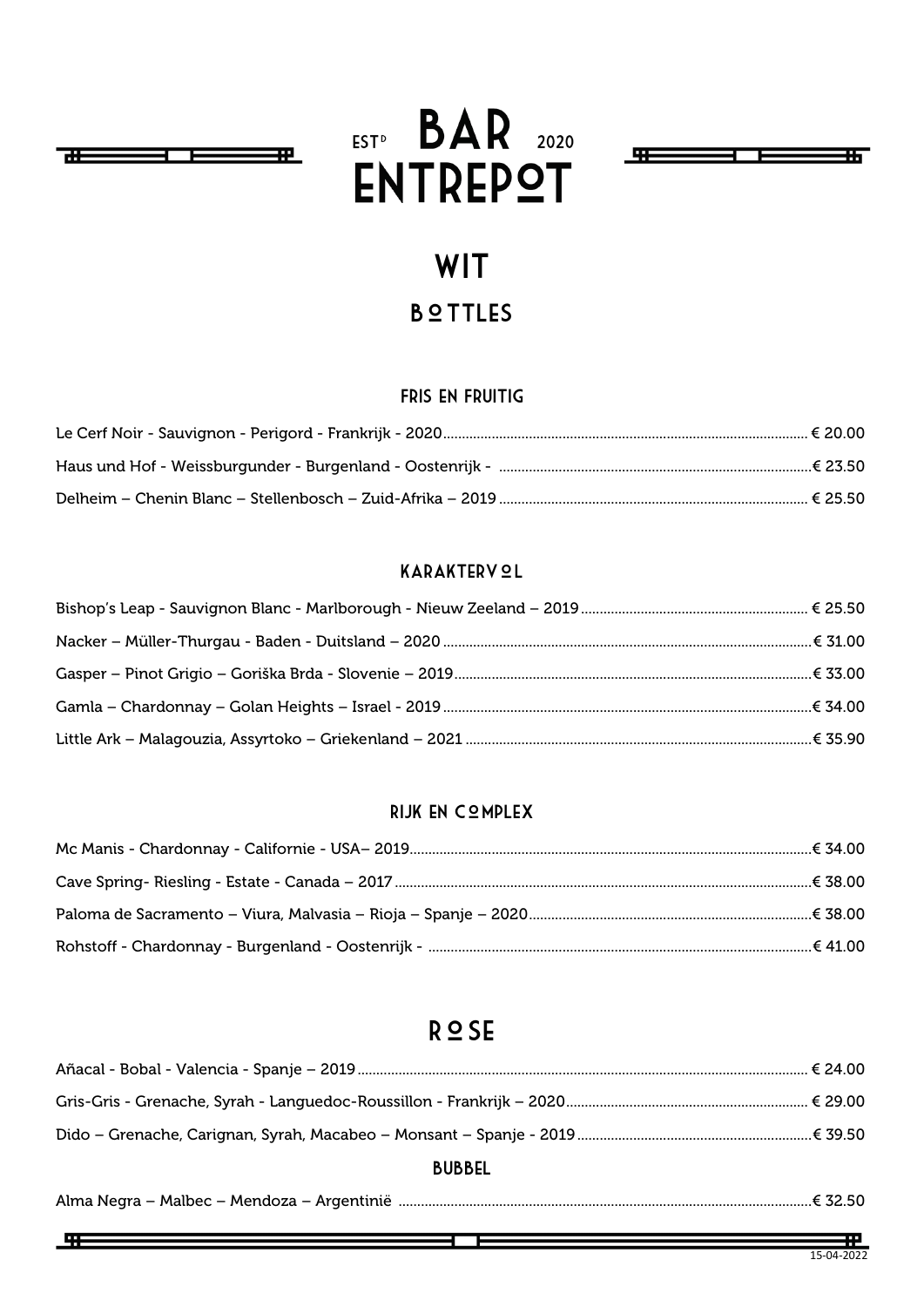

开

# EST<sup>D</sup> BAR 2020 **ENTREPOT**



## **WIT B**<sup>o</sup>TTLES

#### Fris en Fruitig

#### KARAKTERVOL

#### Rijk en Complex

#### R<sup>o</sup>SE

| <b>BUBBEL</b> |  |
|---------------|--|